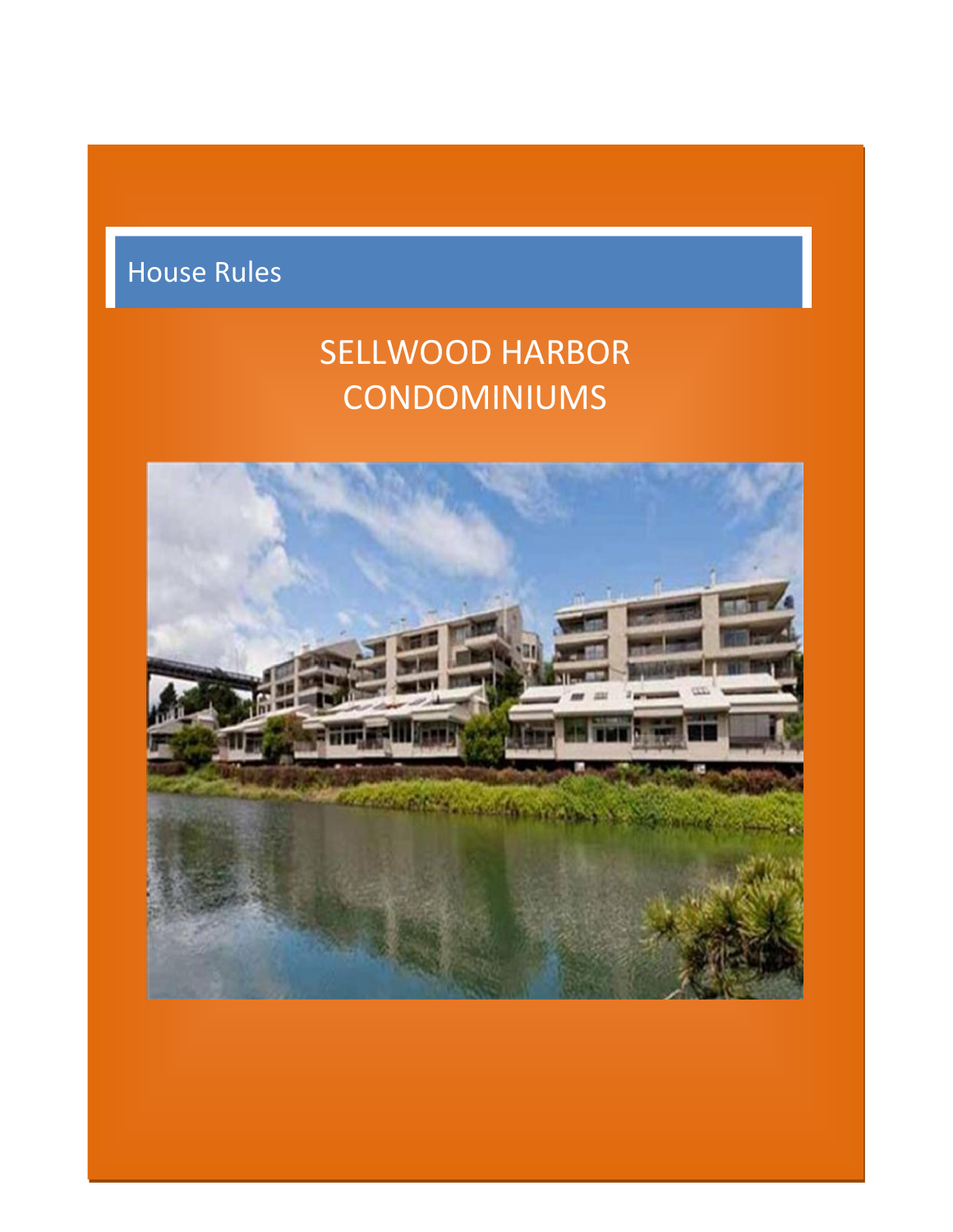# House Rules

# SELLWOOD HARBOR CONDOMINIUMS

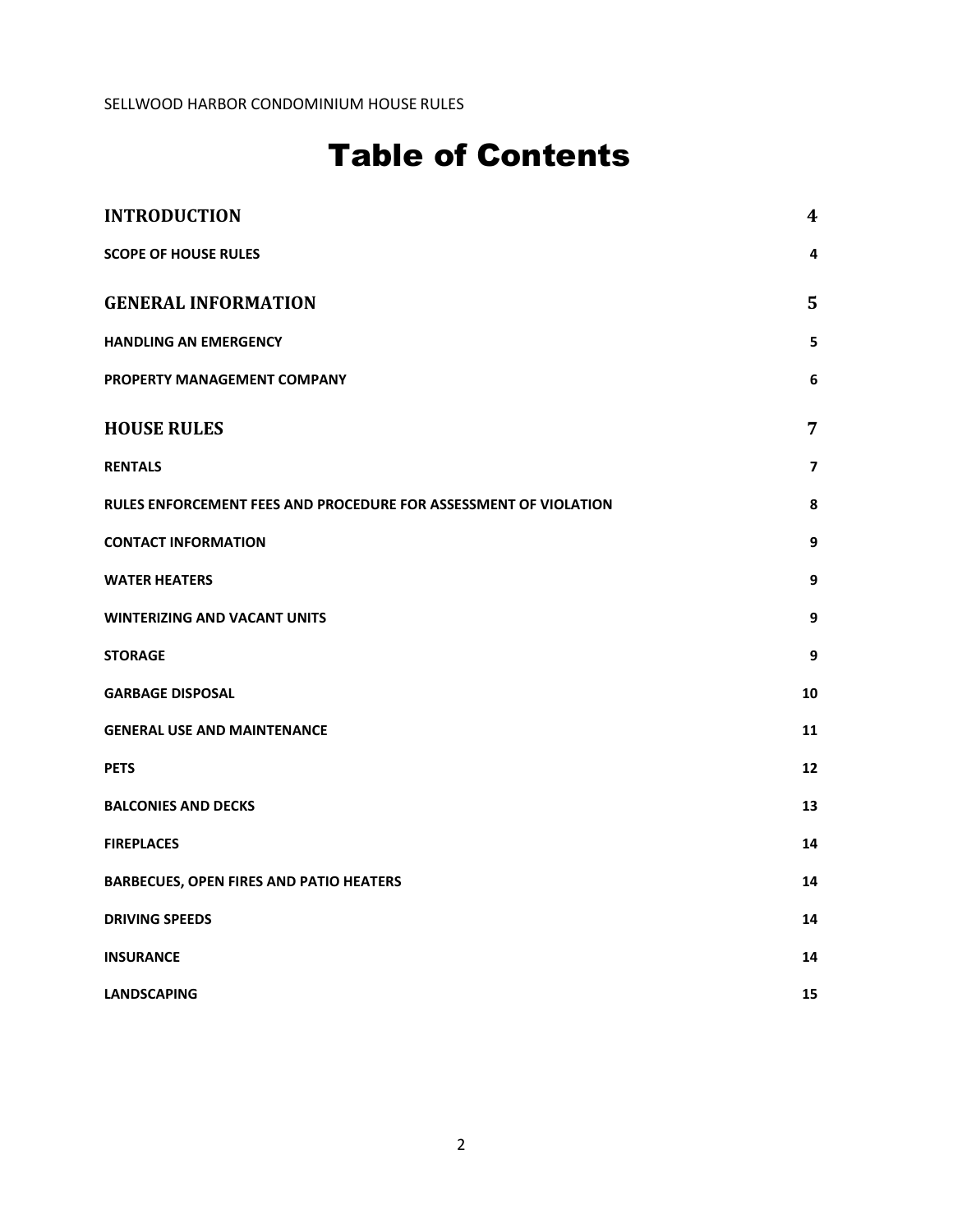## Table of Contents

| <b>INTRODUCTION</b>                                              | $\boldsymbol{4}$ |
|------------------------------------------------------------------|------------------|
| <b>SCOPE OF HOUSE RULES</b>                                      | 4                |
| <b>GENERAL INFORMATION</b>                                       | 5                |
| <b>HANDLING AN EMERGENCY</b>                                     | 5                |
| PROPERTY MANAGEMENT COMPANY                                      | 6                |
| <b>HOUSE RULES</b>                                               | 7                |
| <b>RENTALS</b>                                                   | 7                |
| RULES ENFORCEMENT FEES AND PROCEDURE FOR ASSESSMENT OF VIOLATION | 8                |
| <b>CONTACT INFORMATION</b>                                       | 9                |
| <b>WATER HEATERS</b>                                             | 9                |
| <b>WINTERIZING AND VACANT UNITS</b>                              | 9                |
| <b>STORAGE</b>                                                   | 9                |
| <b>GARBAGE DISPOSAL</b>                                          | 10               |
| <b>GENERAL USE AND MAINTENANCE</b>                               | 11               |
| <b>PETS</b>                                                      | 12               |
| <b>BALCONIES AND DECKS</b>                                       | 13               |
| <b>FIREPLACES</b>                                                | 14               |
| <b>BARBECUES, OPEN FIRES AND PATIO HEATERS</b>                   | 14               |
| <b>DRIVING SPEEDS</b>                                            | 14               |
| <b>INSURANCE</b>                                                 | 14               |
| <b>LANDSCAPING</b>                                               | 15               |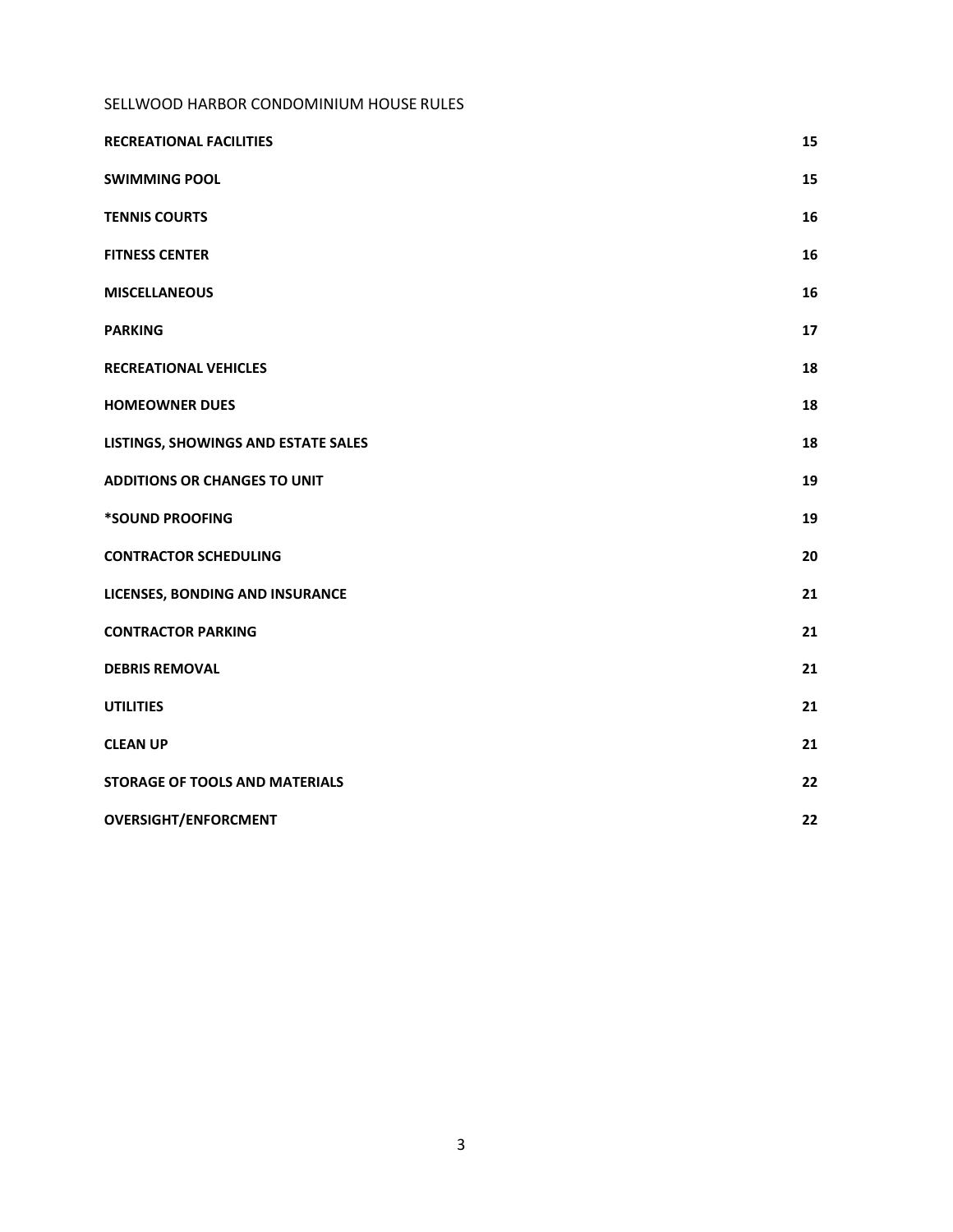| <b>RECREATIONAL FACILITIES</b>        | 15 |
|---------------------------------------|----|
| <b>SWIMMING POOL</b>                  | 15 |
| <b>TENNIS COURTS</b>                  | 16 |
| <b>FITNESS CENTER</b>                 | 16 |
| <b>MISCELLANEOUS</b>                  | 16 |
| <b>PARKING</b>                        | 17 |
| <b>RECREATIONAL VEHICLES</b>          | 18 |
| <b>HOMEOWNER DUES</b>                 | 18 |
| LISTINGS, SHOWINGS AND ESTATE SALES   | 18 |
| <b>ADDITIONS OR CHANGES TO UNIT</b>   | 19 |
| *SOUND PROOFING                       | 19 |
| <b>CONTRACTOR SCHEDULING</b>          | 20 |
| LICENSES, BONDING AND INSURANCE       | 21 |
| <b>CONTRACTOR PARKING</b>             | 21 |
| <b>DEBRIS REMOVAL</b>                 | 21 |
| <b>UTILITIES</b>                      | 21 |
| <b>CLEAN UP</b>                       | 21 |
| <b>STORAGE OF TOOLS AND MATERIALS</b> | 22 |
| <b>OVERSIGHT/ENFORCMENT</b>           | 22 |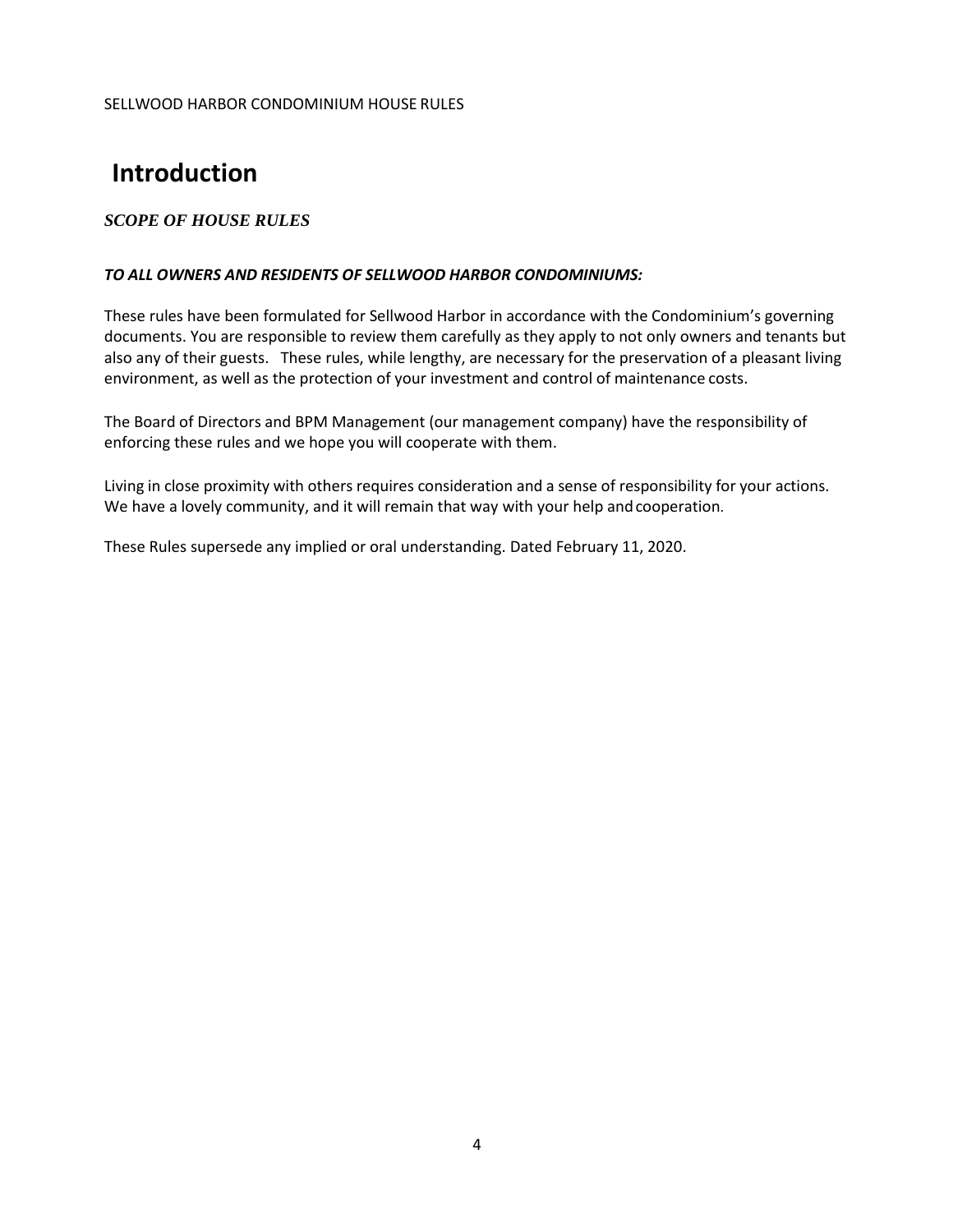## <span id="page-3-0"></span>**Introduction**

#### <span id="page-3-1"></span>*SCOPE OF HOUSE RULES*

#### *TO ALL OWNERS AND RESIDENTS OF SELLWOOD HARBOR CONDOMINIUMS:*

These rules have been formulated for Sellwood Harbor in accordance with the Condominium's governing documents. You are responsible to review them carefully as they apply to not only owners and tenants but also any of their guests. These rules, while lengthy, are necessary for the preservation of a pleasant living environment, as well as the protection of your investment and control of maintenance costs.

The Board of Directors and BPM Management (our management company) have the responsibility of enforcing these rules and we hope you will cooperate with them.

Living in close proximity with others requires consideration and a sense of responsibility for your actions. We have a lovely community, and it will remain that way with your help andcooperation.

These Rules supersede any implied or oral understanding. Dated February 11, 2020.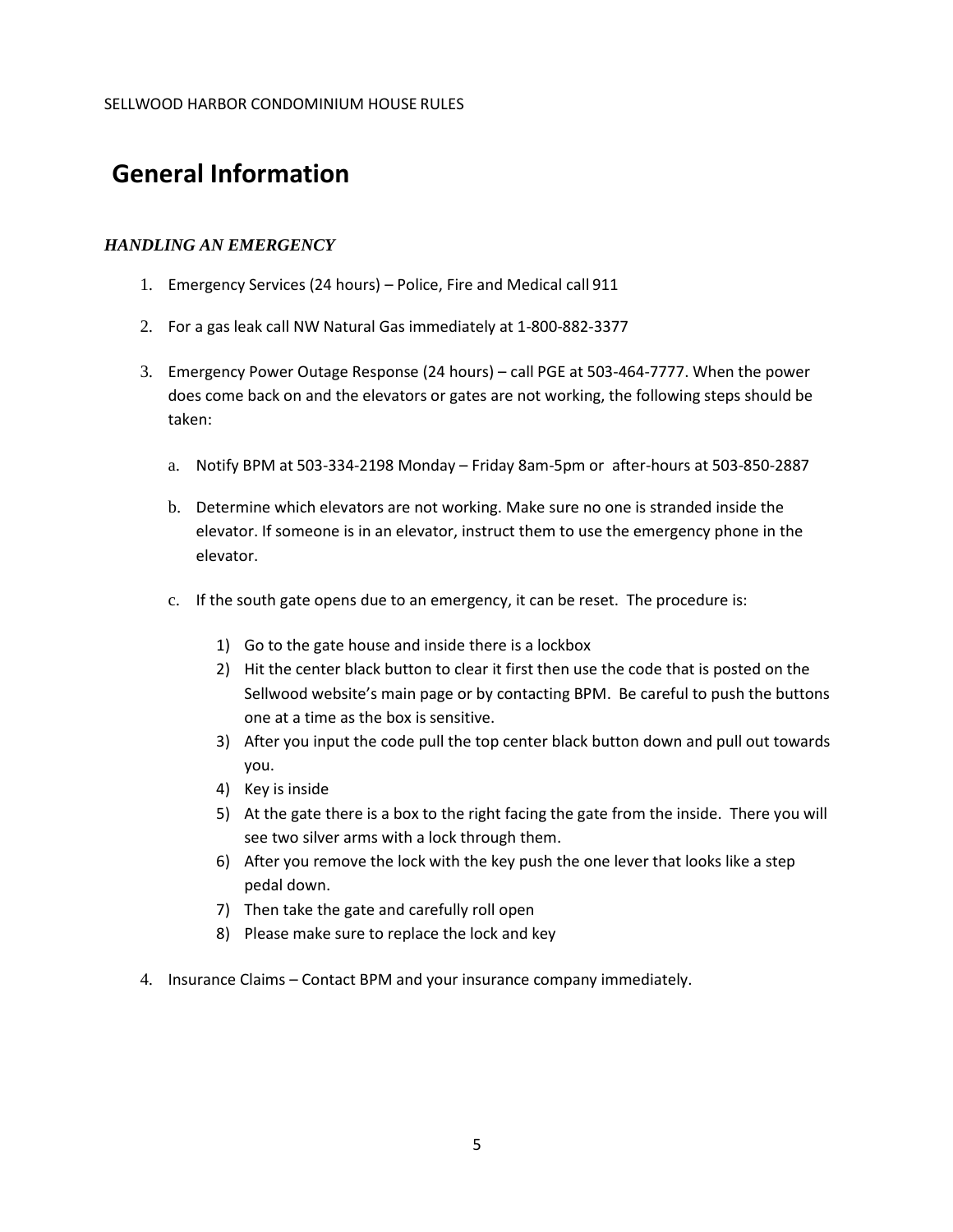### <span id="page-4-0"></span>**General Information**

#### <span id="page-4-1"></span>*HANDLING AN EMERGENCY*

- 1. Emergency Services (24 hours) Police, Fire and Medical call 911
- 2. For a gas leak call NW Natural Gas immediately at 1-800-882-3377
- 3. Emergency Power Outage Response (24 hours) call PGE at 503-464-7777. When the power does come back on and the elevators or gates are not working, the following steps should be taken:
	- a. Notify BPM at 503-334-2198 Monday Friday 8am-5pm or after-hours at 503-850-2887
	- b. Determine which elevators are not working. Make sure no one is stranded inside the elevator. If someone is in an elevator, instruct them to use the emergency phone in the elevator.
	- c. If the south gate opens due to an emergency, it can be reset. The procedure is:
		- 1) Go to the gate house and inside there is a lockbox
		- 2) Hit the center black button to clear it first then use the code that is posted on the Sellwood website's main page or by contacting BPM. Be careful to push the buttons one at a time as the box is sensitive.
		- 3) After you input the code pull the top center black button down and pull out towards you.
		- 4) Key is inside
		- 5) At the gate there is a box to the right facing the gate from the inside. There you will see two silver arms with a lock through them.
		- 6) After you remove the lock with the key push the one lever that looks like a step pedal down.
		- 7) Then take the gate and carefully roll open
		- 8) Please make sure to replace the lock and key
- 4. Insurance Claims Contact BPM and your insurance company immediately.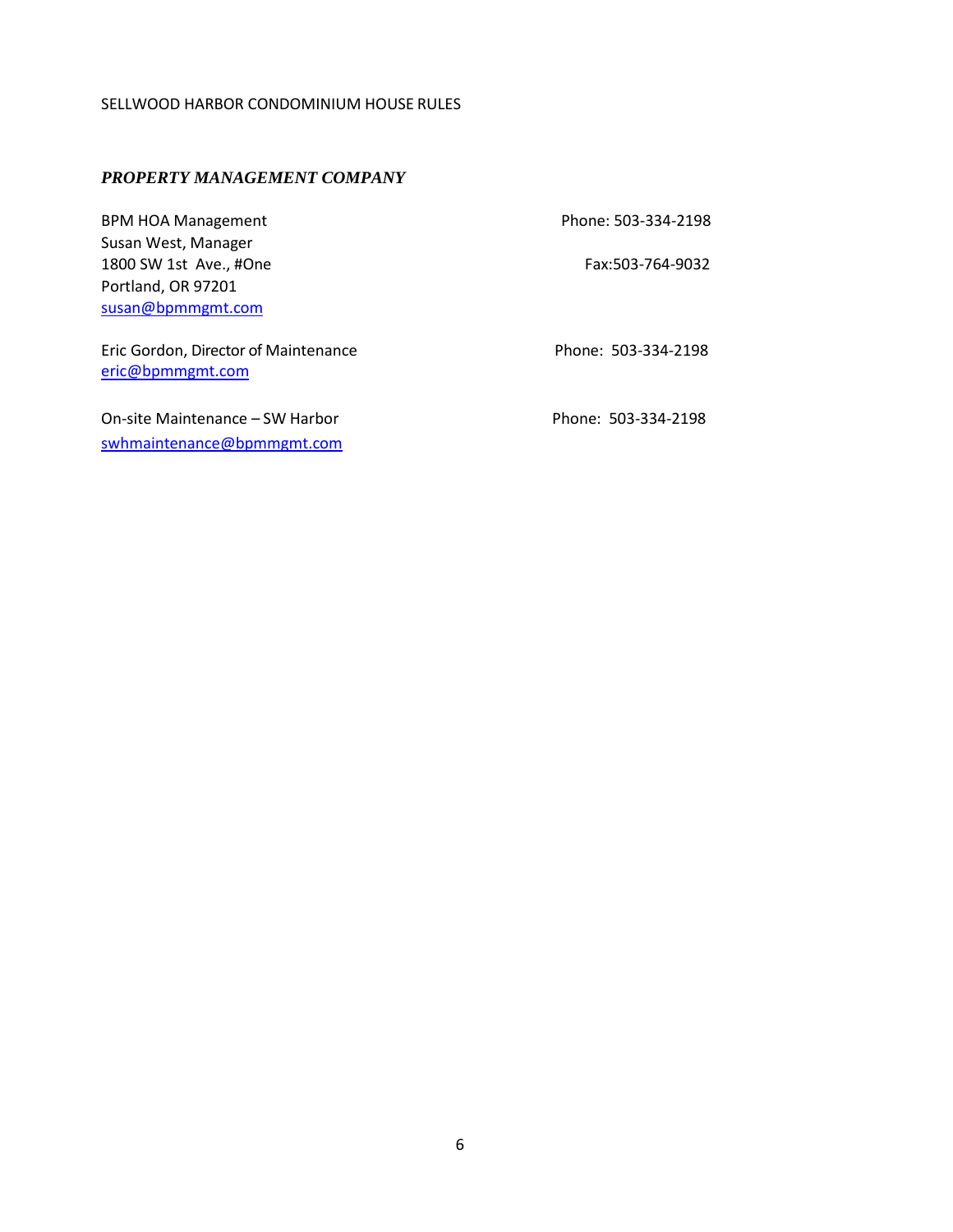#### <span id="page-5-0"></span>*PROPERTY MANAGEMENT COMPANY*

| <b>BPM HOA Management</b>                                | Phone: 503-334-2198 |
|----------------------------------------------------------|---------------------|
| Susan West, Manager                                      |                     |
| 1800 SW 1st Ave., #One                                   | Fax:503-764-9032    |
| Portland, OR 97201                                       |                     |
| susan@bpmmgmt.com                                        |                     |
| Eric Gordon, Director of Maintenance<br>eric@bpmmgmt.com | Phone: 503-334-2198 |
| On-site Maintenance - SW Harbor                          | Phone: 503-334-2198 |
| swhmaintenance@bpmmgmt.com                               |                     |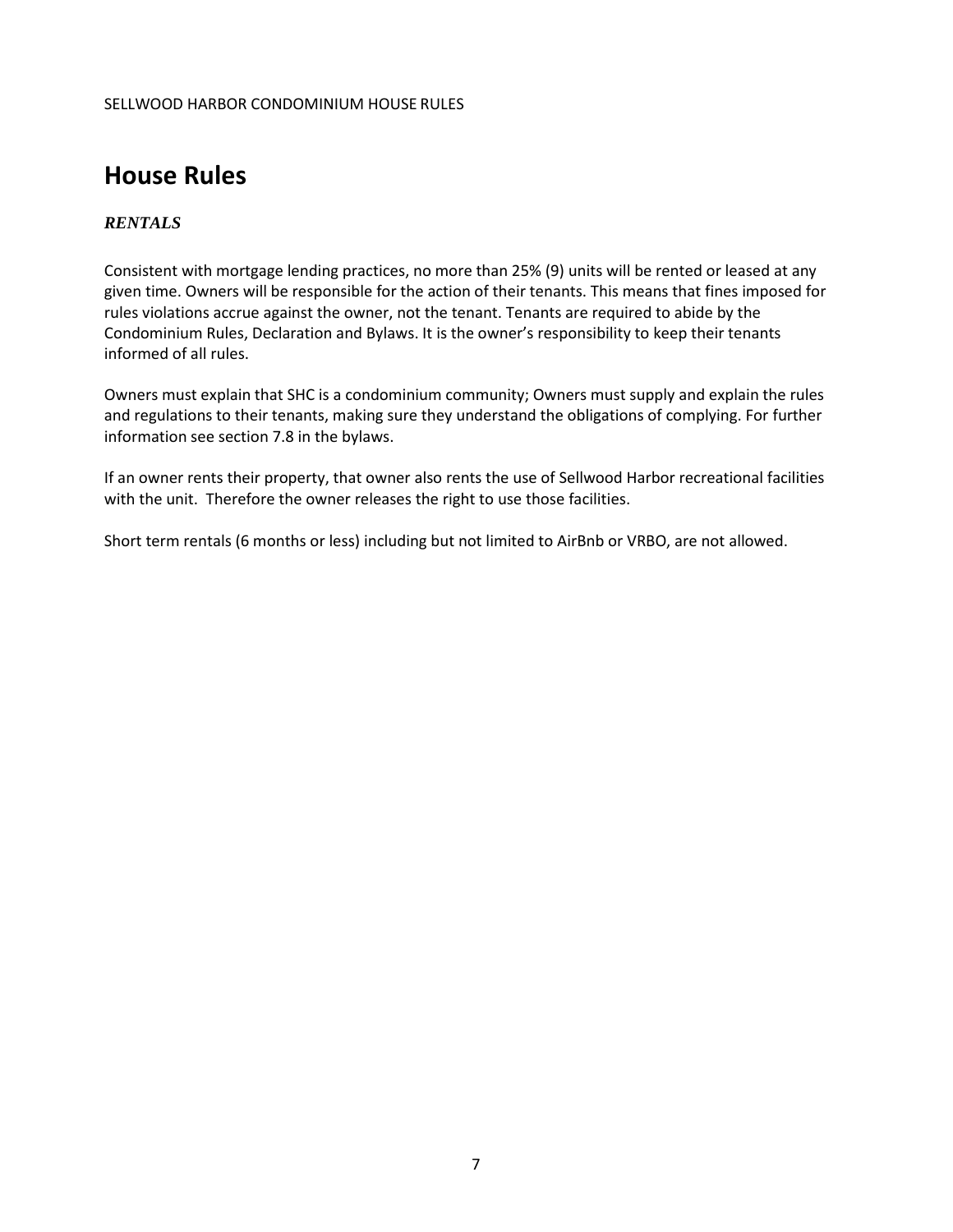## <span id="page-6-0"></span>**House Rules**

#### <span id="page-6-1"></span>*RENTALS*

Consistent with mortgage lending practices, no more than 25% (9) units will be rented or leased at any given time. Owners will be responsible for the action of their tenants. This means that fines imposed for rules violations accrue against the owner, not the tenant. Tenants are required to abide by the Condominium Rules, Declaration and Bylaws. It is the owner's responsibility to keep their tenants informed of all rules.

Owners must explain that SHC is a condominium community; Owners must supply and explain the rules and regulations to their tenants, making sure they understand the obligations of complying. For further information see section 7.8 in the bylaws.

If an owner rents their property, that owner also rents the use of Sellwood Harbor recreational facilities with the unit. Therefore the owner releases the right to use those facilities.

Short term rentals (6 months or less) including but not limited to AirBnb or VRBO, are not allowed.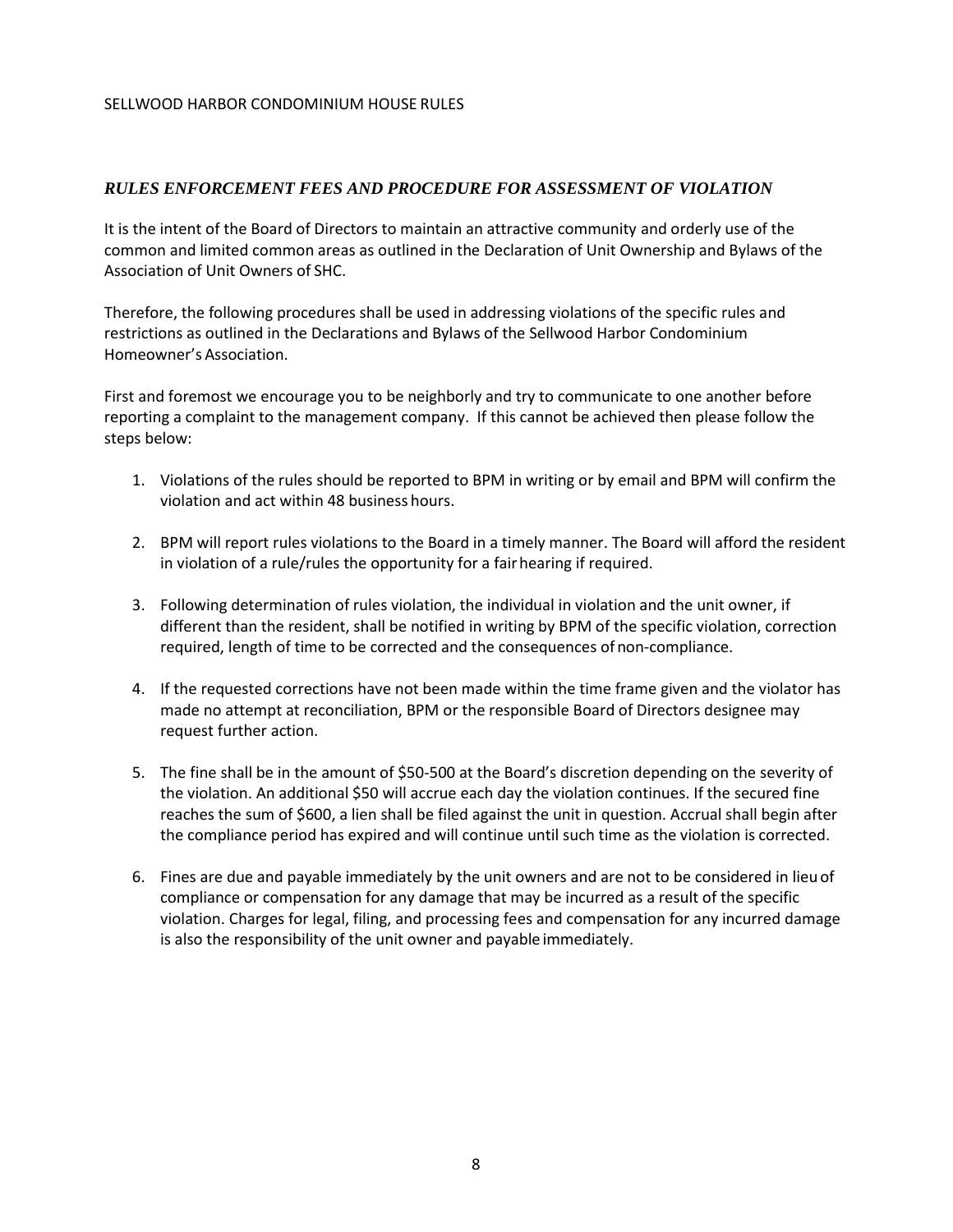#### <span id="page-7-0"></span>*RULES ENFORCEMENT FEES AND PROCEDURE FOR ASSESSMENT OF VIOLATION*

It is the intent of the Board of Directors to maintain an attractive community and orderly use of the common and limited common areas as outlined in the Declaration of Unit Ownership and Bylaws of the Association of Unit Owners of SHC.

Therefore, the following procedures shall be used in addressing violations of the specific rules and restrictions as outlined in the Declarations and Bylaws of the Sellwood Harbor Condominium Homeowner's Association.

First and foremost we encourage you to be neighborly and try to communicate to one another before reporting a complaint to the management company. If this cannot be achieved then please follow the steps below:

- 1. Violations of the rules should be reported to BPM in writing or by email and BPM will confirm the violation and act within 48 business hours.
- 2. BPM will report rules violations to the Board in a timely manner. The Board will afford the resident in violation of a rule/rules the opportunity for a fairhearing if required.
- 3. Following determination of rules violation, the individual in violation and the unit owner, if different than the resident, shall be notified in writing by BPM of the specific violation, correction required, length of time to be corrected and the consequences of non-compliance.
- 4. If the requested corrections have not been made within the time frame given and the violator has made no attempt at reconciliation, BPM or the responsible Board of Directors designee may request further action.
- 5. The fine shall be in the amount of \$50-500 at the Board's discretion depending on the severity of the violation. An additional \$50 will accrue each day the violation continues. If the secured fine reaches the sum of \$600, a lien shall be filed against the unit in question. Accrual shall begin after the compliance period has expired and will continue until such time as the violation is corrected.
- 6. Fines are due and payable immediately by the unit owners and are not to be considered in lieu of compliance or compensation for any damage that may be incurred as a result of the specific violation. Charges for legal, filing, and processing fees and compensation for any incurred damage is also the responsibility of the unit owner and payable immediately.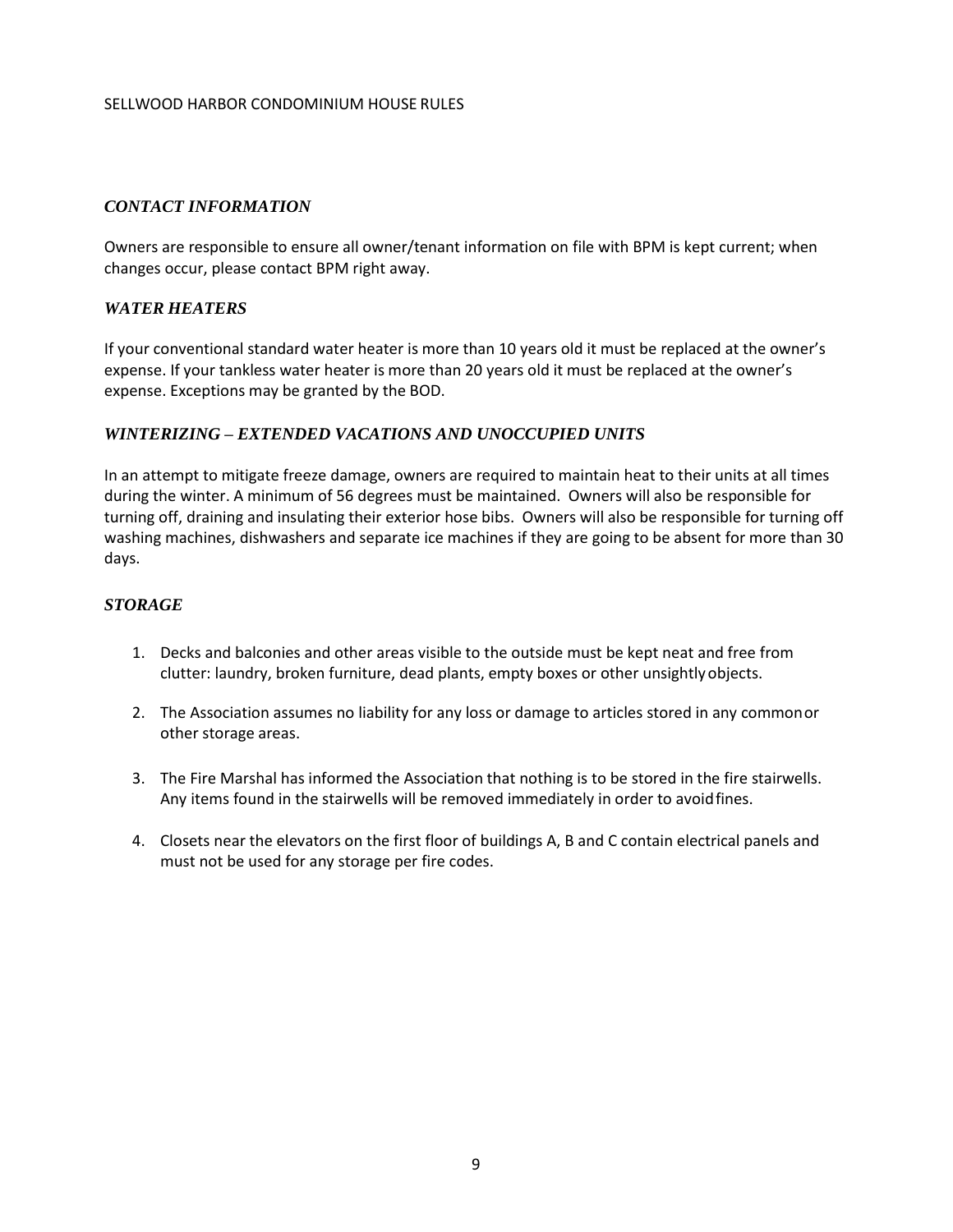#### <span id="page-8-0"></span>*CONTACT INFORMATION*

Owners are responsible to ensure all owner/tenant information on file with BPM is kept current; when changes occur, please contact BPM right away.

#### <span id="page-8-1"></span>*WATER HEATERS*

If your conventional standard water heater is more than 10 years old it must be replaced at the owner's expense. If your tankless water heater is more than 20 years old it must be replaced at the owner's expense. Exceptions may be granted by the BOD.

#### <span id="page-8-2"></span>*WINTERIZING – EXTENDED VACATIONS AND UNOCCUPIED UNITS*

In an attempt to mitigate freeze damage, owners are required to maintain heat to their units at all times during the winter. A minimum of 56 degrees must be maintained. Owners will also be responsible for turning off, draining and insulating their exterior hose bibs. Owners will also be responsible for turning off washing machines, dishwashers and separate ice machines if they are going to be absent for more than 30 days.

#### <span id="page-8-3"></span>*STORAGE*

- 1. Decks and balconies and other areas visible to the outside must be kept neat and free from clutter: laundry, broken furniture, dead plants, empty boxes or other unsightlyobjects.
- 2. The Association assumes no liability for any loss or damage to articles stored in any commonor other storage areas.
- 3. The Fire Marshal has informed the Association that nothing is to be stored in the fire stairwells. Any items found in the stairwells will be removed immediately in order to avoidfines.
- 4. Closets near the elevators on the first floor of buildings A, B and C contain electrical panels and must not be used for any storage per fire codes.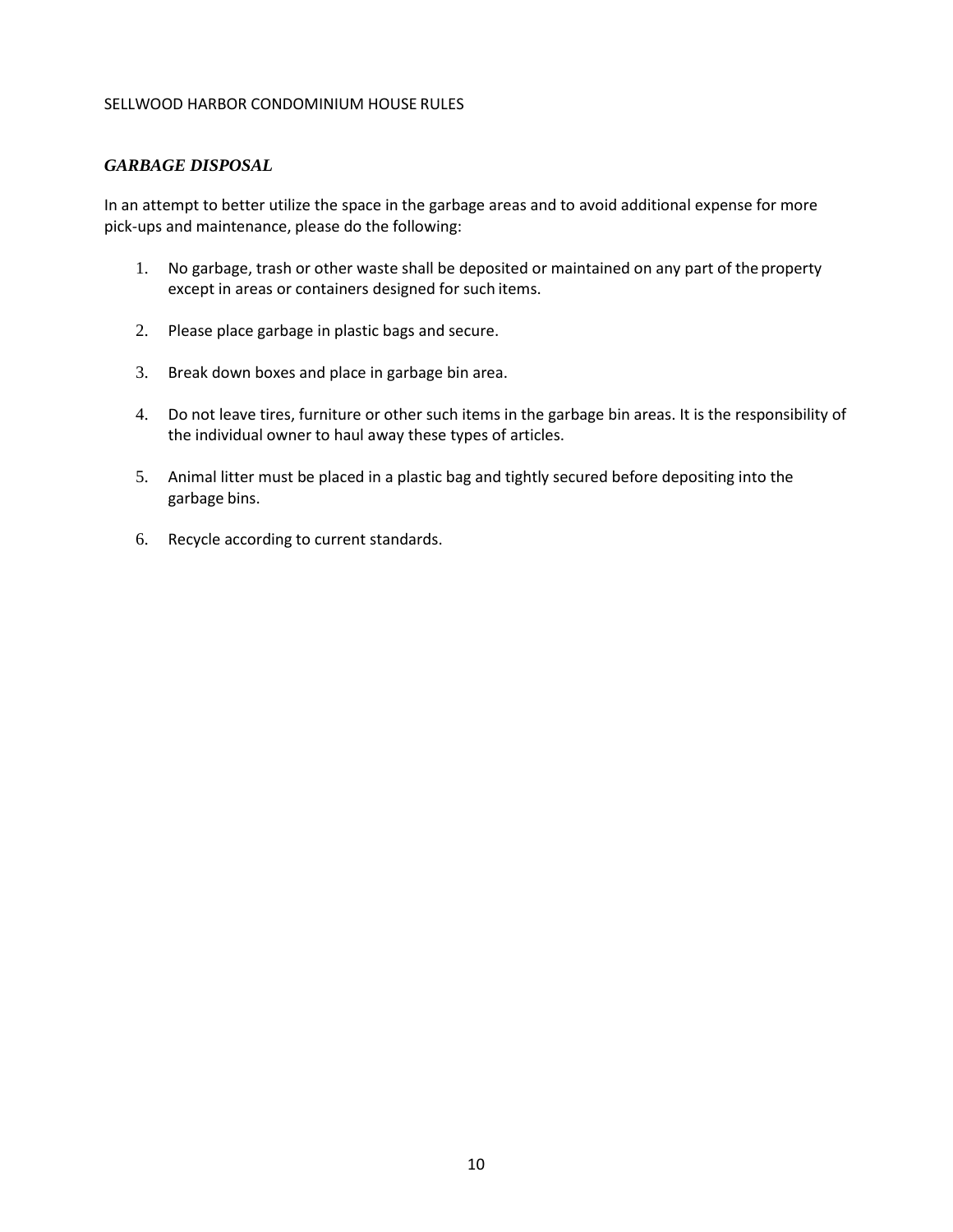#### <span id="page-9-0"></span>*GARBAGE DISPOSAL*

In an attempt to better utilize the space in the garbage areas and to avoid additional expense for more pick-ups and maintenance, please do the following:

- 1. No garbage, trash or other waste shall be deposited or maintained on any part of the property except in areas or containers designed for such items.
- 2. Please place garbage in plastic bags and secure.
- 3. Break down boxes and place in garbage bin area.
- 4. Do not leave tires, furniture or other such items in the garbage bin areas. It is the responsibility of the individual owner to haul away these types of articles.
- 5. Animal litter must be placed in a plastic bag and tightly secured before depositing into the garbage bins.
- 6. Recycle according to current standards.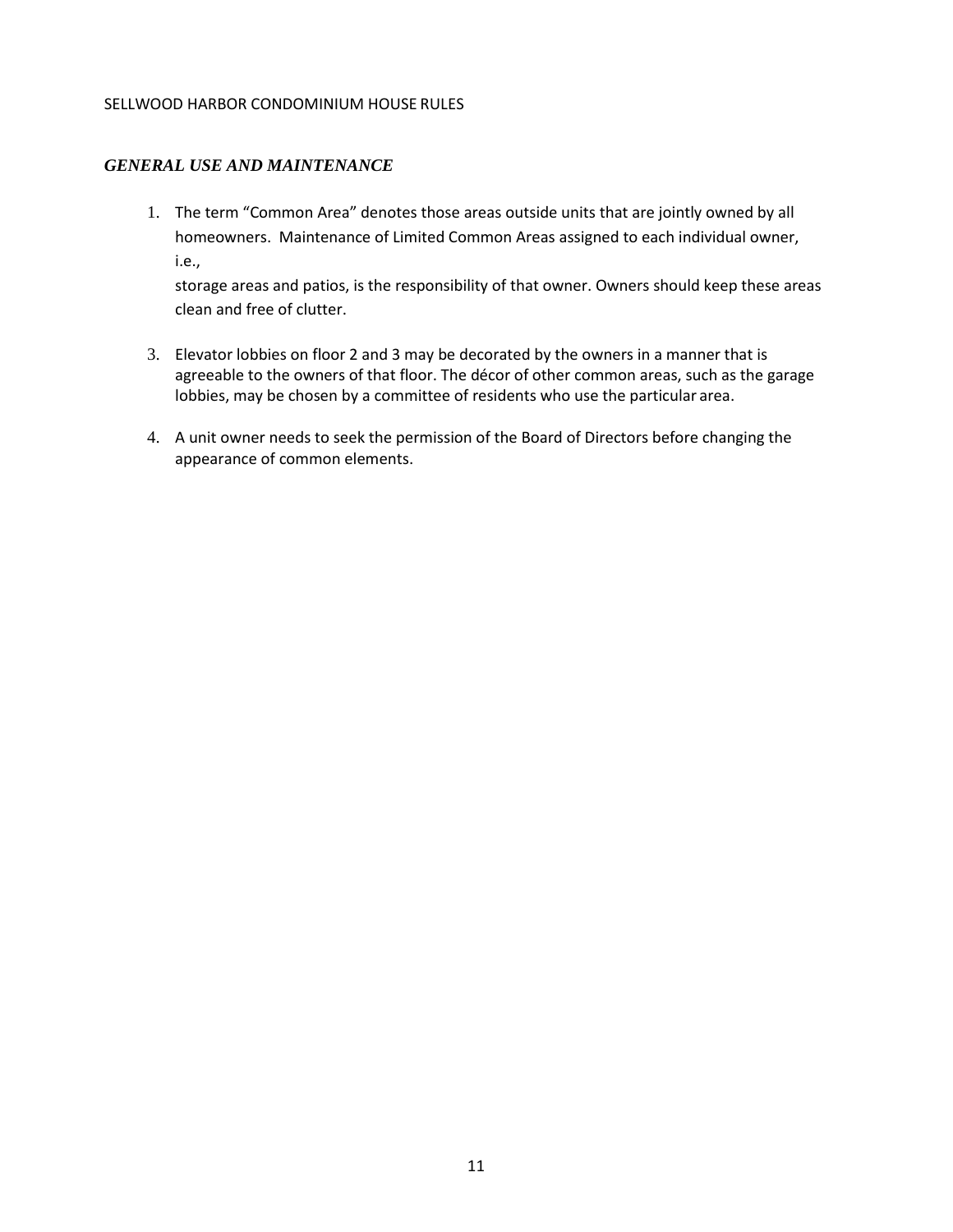#### <span id="page-10-0"></span>*GENERAL USE AND MAINTENANCE*

1. The term "Common Area" denotes those areas outside units that are jointly owned by all homeowners. Maintenance of Limited Common Areas assigned to each individual owner, i.e.,

storage areas and patios, is the responsibility of that owner. Owners should keep these areas clean and free of clutter.

- 3. Elevator lobbies on floor 2 and 3 may be decorated by the owners in a manner that is agreeable to the owners of that floor. The décor of other common areas, such as the garage lobbies, may be chosen by a committee of residents who use the particular area.
- 4. A unit owner needs to seek the permission of the Board of Directors before changing the appearance of common elements.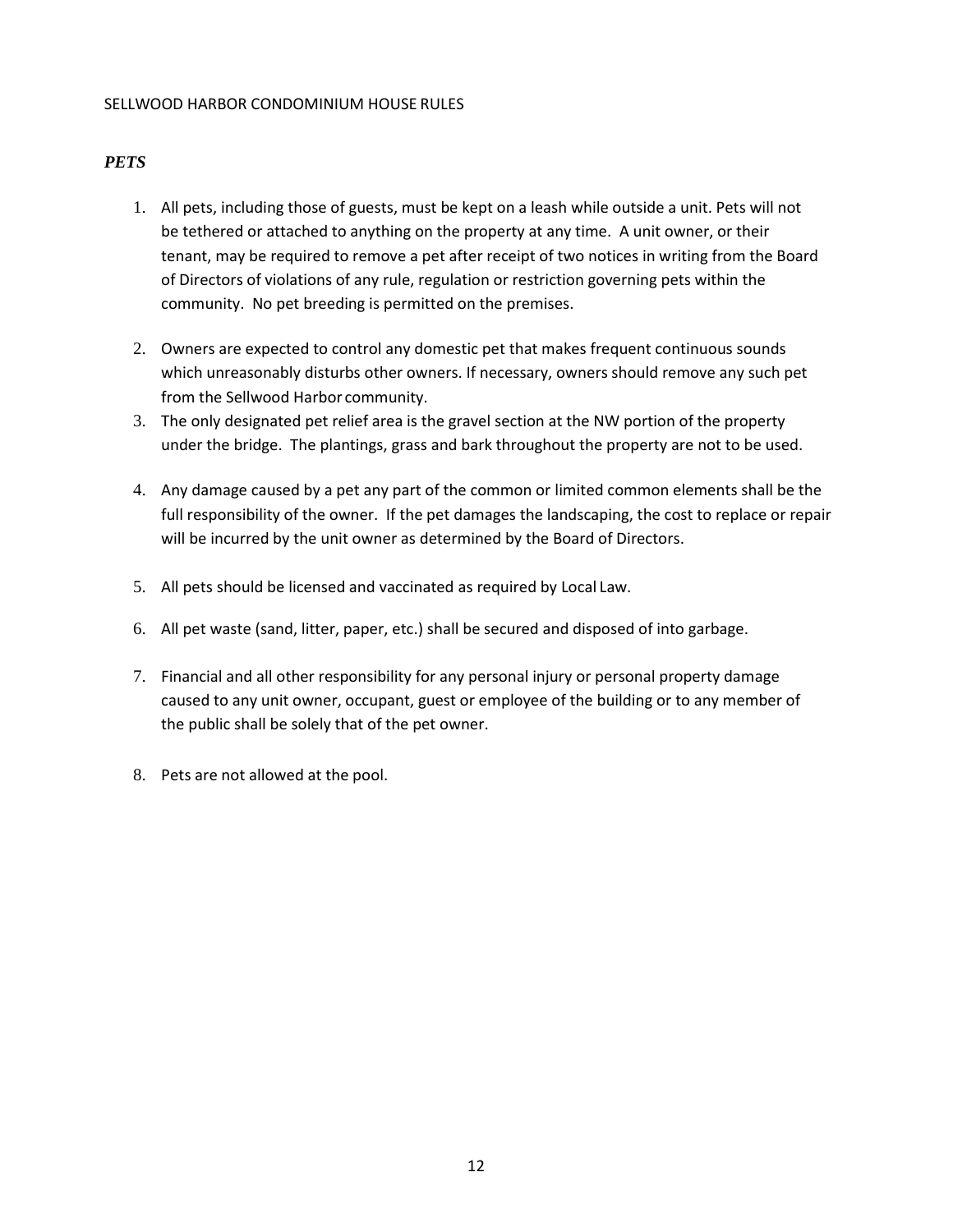#### <span id="page-11-0"></span>*PETS*

- 1. All pets, including those of guests, must be kept on a leash while outside a unit. Pets will not be tethered or attached to anything on the property at any time. A unit owner, or their tenant, may be required to remove a pet after receipt of two notices in writing from the Board of Directors of violations of any rule, regulation or restriction governing pets within the community. No pet breeding is permitted on the premises.
- 2. Owners are expected to control any domestic pet that makes frequent continuous sounds which unreasonably disturbs other owners. If necessary, owners should remove any such pet from the Sellwood Harbor community.
- 3. The only designated pet relief area is the gravel section at the NW portion of the property under the bridge. The plantings, grass and bark throughout the property are not to be used.
- 4. Any damage caused by a pet any part of the common or limited common elements shall be the full responsibility of the owner. If the pet damages the landscaping, the cost to replace or repair will be incurred by the unit owner as determined by the Board of Directors.
- 5. All pets should be licensed and vaccinated as required by Local Law.
- 6. All pet waste (sand, litter, paper, etc.) shall be secured and disposed of into garbage.
- 7. Financial and all other responsibility for any personal injury or personal property damage caused to any unit owner, occupant, guest or employee of the building or to any member of the public shall be solely that of the pet owner.
- 8. Pets are not allowed at the pool.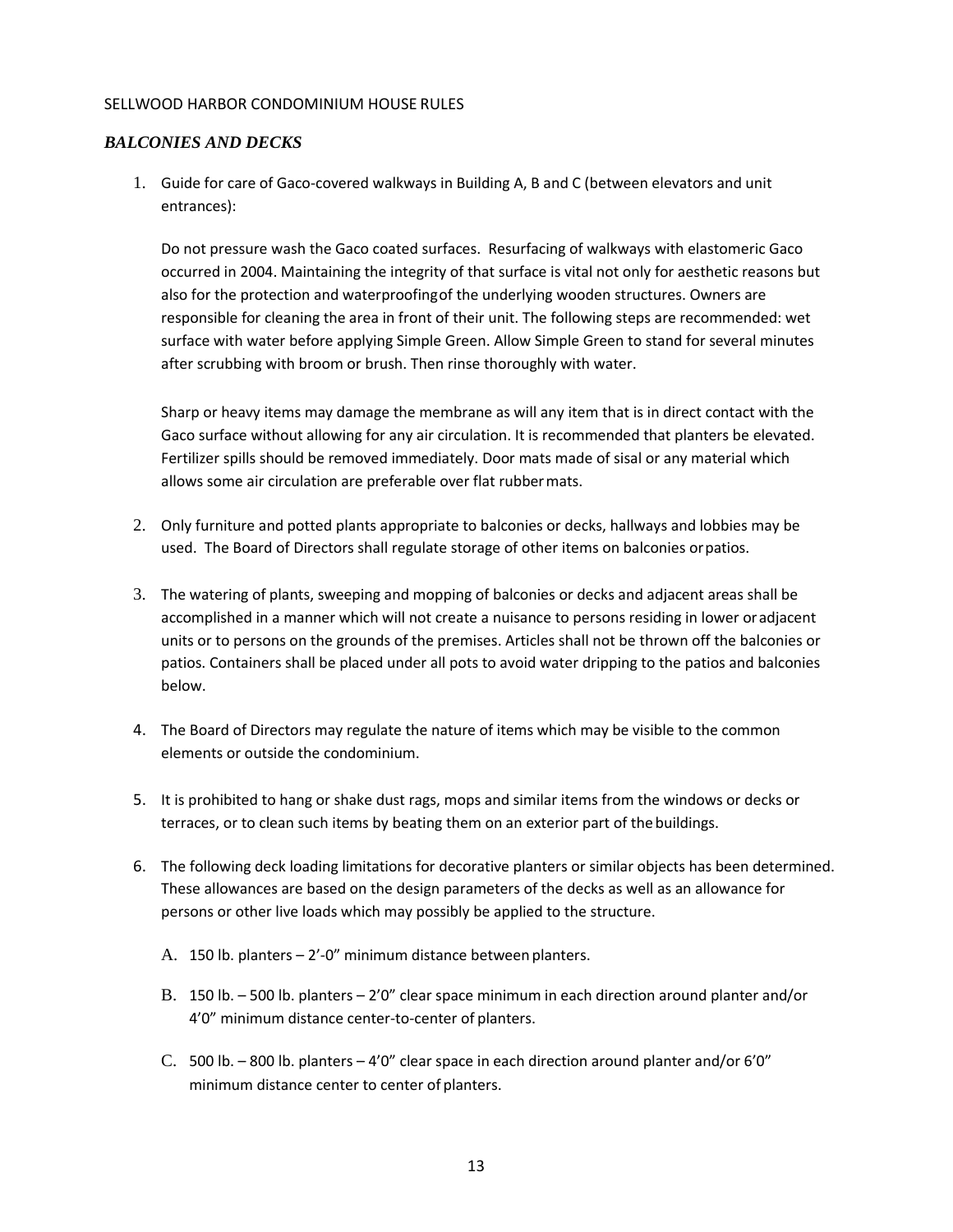#### <span id="page-12-0"></span>*BALCONIES AND DECKS*

1. Guide for care of Gaco-covered walkways in Building A, B and C (between elevators and unit entrances):

Do not pressure wash the Gaco coated surfaces. Resurfacing of walkways with elastomeric Gaco occurred in 2004. Maintaining the integrity of that surface is vital not only for aesthetic reasons but also for the protection and waterproofingof the underlying wooden structures. Owners are responsible for cleaning the area in front of their unit. The following steps are recommended: wet surface with water before applying Simple Green. Allow Simple Green to stand for several minutes after scrubbing with broom or brush. Then rinse thoroughly with water.

Sharp or heavy items may damage the membrane as will any item that is in direct contact with the Gaco surface without allowing for any air circulation. It is recommended that planters be elevated. Fertilizer spills should be removed immediately. Door mats made of sisal or any material which allows some air circulation are preferable over flat rubbermats.

- 2. Only furniture and potted plants appropriate to balconies or decks, hallways and lobbies may be used. The Board of Directors shall regulate storage of other items on balconies orpatios.
- 3. The watering of plants, sweeping and mopping of balconies or decks and adjacent areas shall be accomplished in a manner which will not create a nuisance to persons residing in lower oradjacent units or to persons on the grounds of the premises. Articles shall not be thrown off the balconies or patios. Containers shall be placed under all pots to avoid water dripping to the patios and balconies below.
- 4. The Board of Directors may regulate the nature of items which may be visible to the common elements or outside the condominium.
- 5. It is prohibited to hang or shake dust rags, mops and similar items from the windows or decks or terraces, or to clean such items by beating them on an exterior part of thebuildings.
- 6. The following deck loading limitations for decorative planters or similar objects has been determined. These allowances are based on the design parameters of the decks as well as an allowance for persons or other live loads which may possibly be applied to the structure.
	- A. 150 lb. planters 2'-0" minimum distance between planters.
	- B. 150 lb. 500 lb. planters 2'0" clear space minimum in each direction around planter and/or 4'0" minimum distance center-to-center of planters.
	- C. 500 lb. 800 lb. planters 4'0" clear space in each direction around planter and/or 6'0" minimum distance center to center of planters.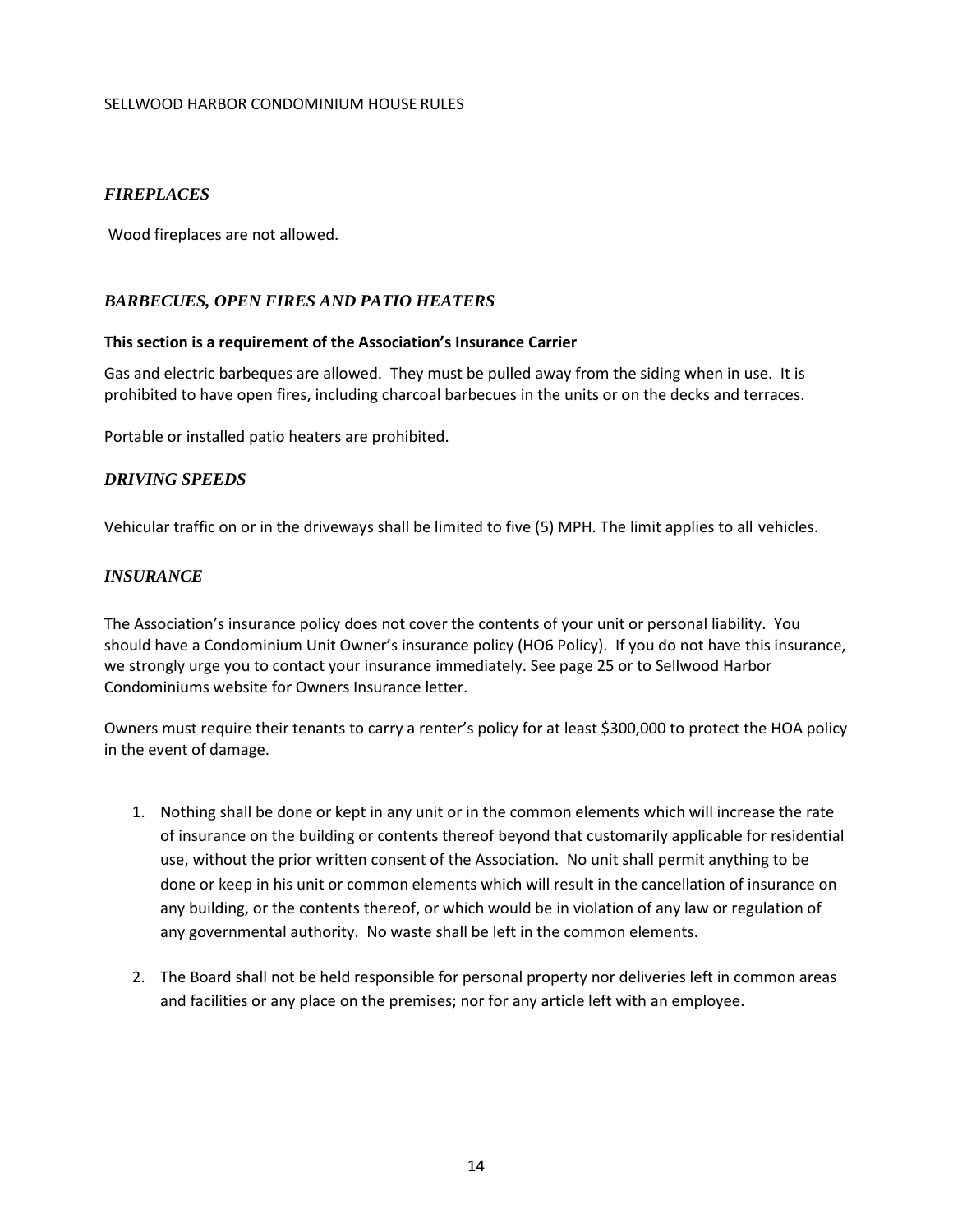#### <span id="page-13-0"></span>*FIREPLACES*

Wood fireplaces are not allowed.

#### <span id="page-13-1"></span>*BARBECUES, OPEN FIRES AND PATIO HEATERS*

#### **This section is a requirement of the Association's Insurance Carrier**

Gas and electric barbeques are allowed. They must be pulled away from the siding when in use. It is prohibited to have open fires, including charcoal barbecues in the units or on the decks and terraces.

Portable or installed patio heaters are prohibited.

#### <span id="page-13-2"></span>*DRIVING SPEEDS*

Vehicular traffic on or in the driveways shall be limited to five (5) MPH. The limit applies to all vehicles.

#### <span id="page-13-3"></span>*INSURANCE*

The Association's insurance policy does not cover the contents of your unit or personal liability. You should have a Condominium Unit Owner's insurance policy (HO6 Policy). If you do not have this insurance, we strongly urge you to contact your insurance immediately. See page 25 or to Sellwood Harbor Condominiums website for Owners Insurance letter.

Owners must require their tenants to carry a renter's policy for at least \$300,000 to protect the HOA policy in the event of damage.

- 1. Nothing shall be done or kept in any unit or in the common elements which will increase the rate of insurance on the building or contents thereof beyond that customarily applicable for residential use, without the prior written consent of the Association. No unit shall permit anything to be done or keep in his unit or common elements which will result in the cancellation of insurance on any building, or the contents thereof, or which would be in violation of any law or regulation of any governmental authority. No waste shall be left in the common elements.
- 2. The Board shall not be held responsible for personal property nor deliveries left in common areas and facilities or any place on the premises; nor for any article left with an employee.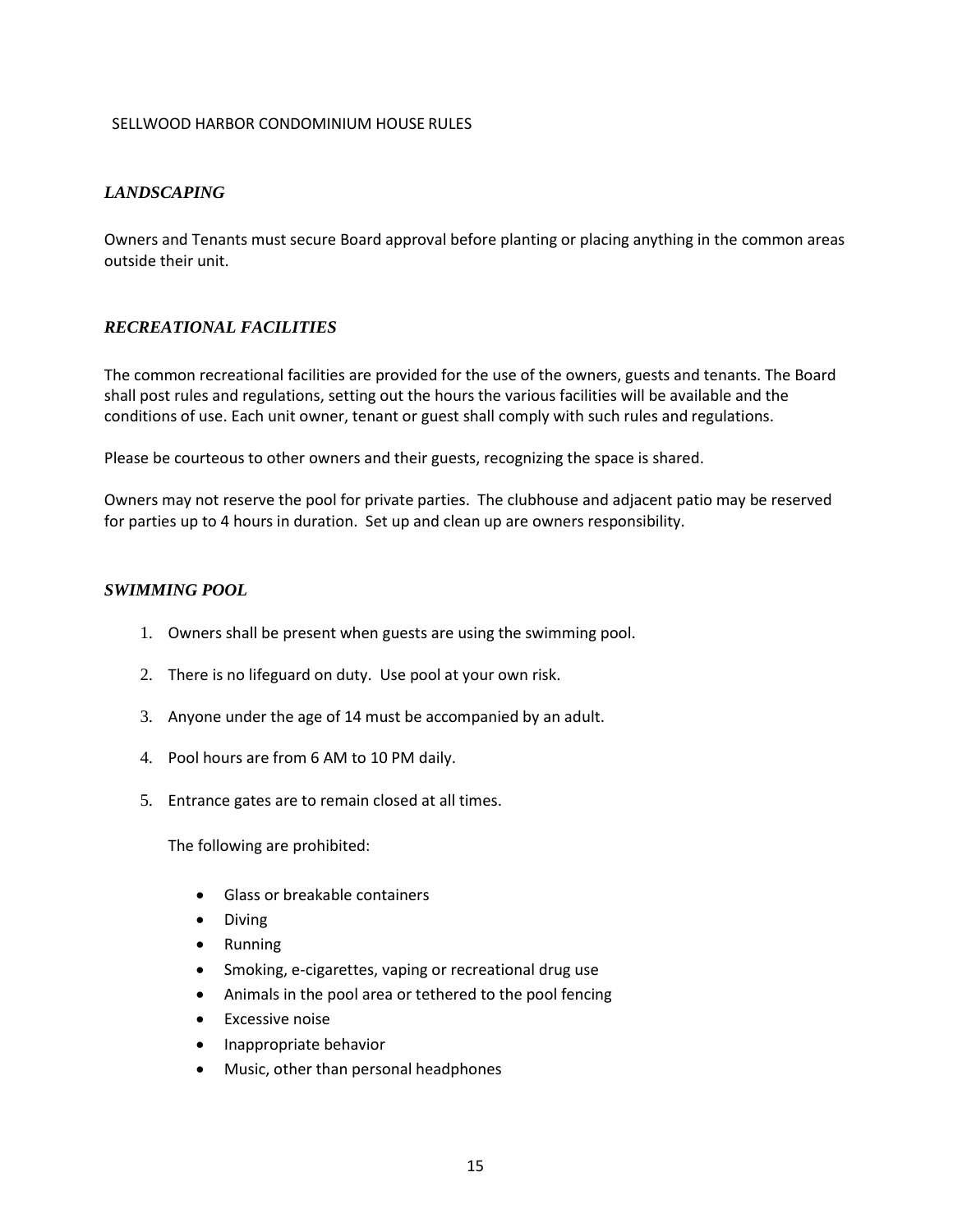#### <span id="page-14-0"></span>*LANDSCAPING*

Owners and Tenants must secure Board approval before planting or placing anything in the common areas outside their unit.

#### <span id="page-14-1"></span>*RECREATIONAL FACILITIES*

The common recreational facilities are provided for the use of the owners, guests and tenants. The Board shall post rules and regulations, setting out the hours the various facilities will be available and the conditions of use. Each unit owner, tenant or guest shall comply with such rules and regulations.

Please be courteous to other owners and their guests, recognizing the space is shared.

Owners may not reserve the pool for private parties. The clubhouse and adjacent patio may be reserved for parties up to 4 hours in duration. Set up and clean up are owners responsibility.

#### <span id="page-14-2"></span>*SWIMMING POOL*

- 1. Owners shall be present when guests are using the swimming pool.
- 2. There is no lifeguard on duty. Use pool at your own risk.
- 3. Anyone under the age of 14 must be accompanied by an adult.
- 4. Pool hours are from 6 AM to 10 PM daily.
- 5. Entrance gates are to remain closed at all times.

The following are prohibited:

- Glass or breakable containers
- Diving
- Running
- Smoking, e-cigarettes, vaping or recreational drug use
- Animals in the pool area or tethered to the pool fencing
- **Excessive noise**
- Inappropriate behavior
- Music, other than personal headphones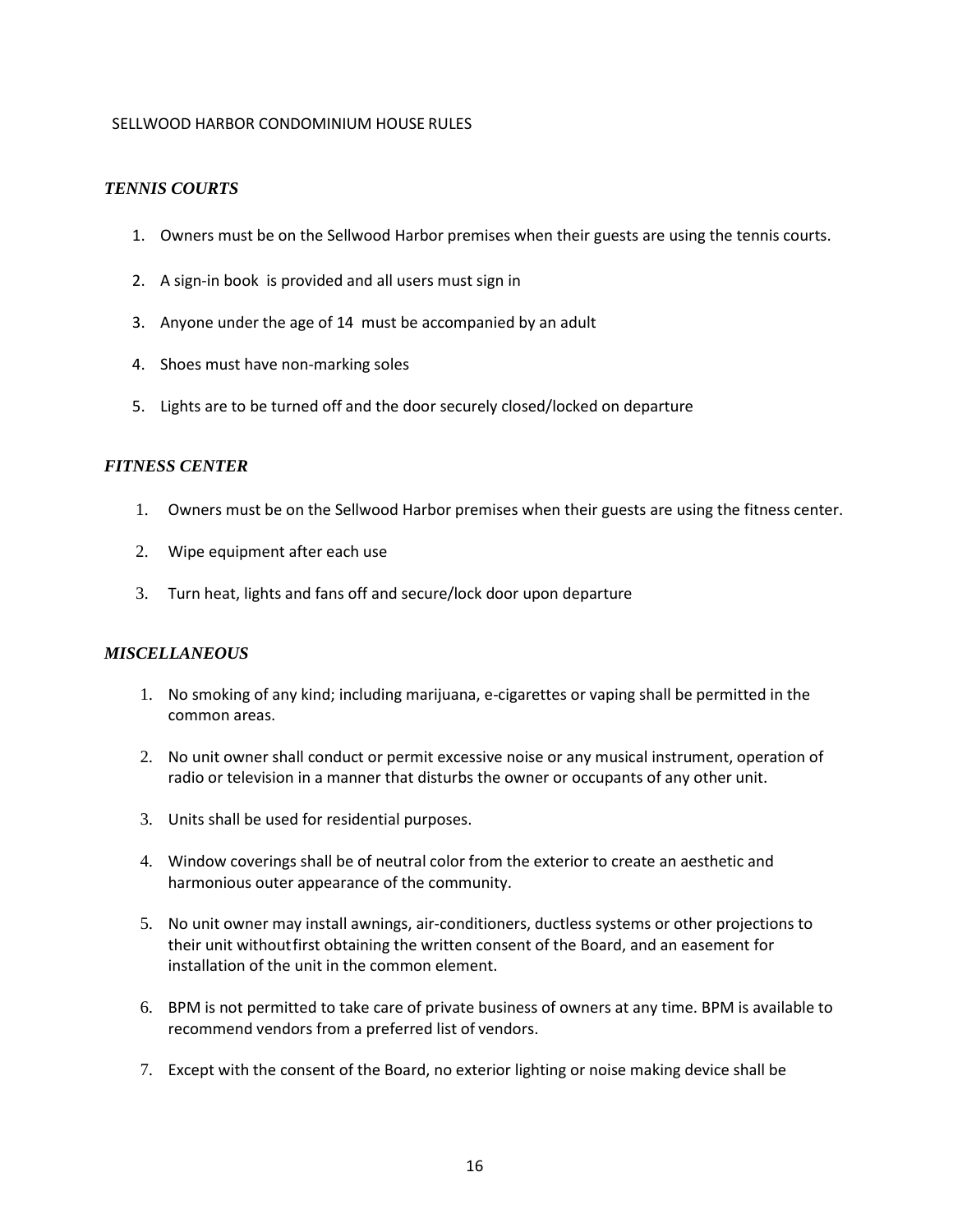#### <span id="page-15-0"></span>*TENNIS COURTS*

- 1. Owners must be on the Sellwood Harbor premises when their guests are using the tennis courts.
- 2. A sign-in book is provided and all users must sign in
- 3. Anyone under the age of 14 must be accompanied by an adult
- 4. Shoes must have non-marking soles
- 5. Lights are to be turned off and the door securely closed/locked on departure

#### <span id="page-15-1"></span>*FITNESS CENTER*

- 1. Owners must be on the Sellwood Harbor premises when their guests are using the fitness center.
- 2. Wipe equipment after each use
- 3. Turn heat, lights and fans off and secure/lock door upon departure

#### <span id="page-15-2"></span>*MISCELLANEOUS*

- 1. No smoking of any kind; including marijuana, e-cigarettes or vaping shall be permitted in the common areas.
- 2. No unit owner shall conduct or permit excessive noise or any musical instrument, operation of radio or television in a manner that disturbs the owner or occupants of any other unit.
- 3. Units shall be used for residential purposes.
- 4. Window coverings shall be of neutral color from the exterior to create an aesthetic and harmonious outer appearance of the community.
- 5. No unit owner may install awnings, air-conditioners, ductless systems or other projections to their unit withoutfirst obtaining the written consent of the Board, and an easement for installation of the unit in the common element.
- 6. BPM is not permitted to take care of private business of owners at any time. BPM is available to recommend vendors from a preferred list of vendors.
- 7. Except with the consent of the Board, no exterior lighting or noise making device shall be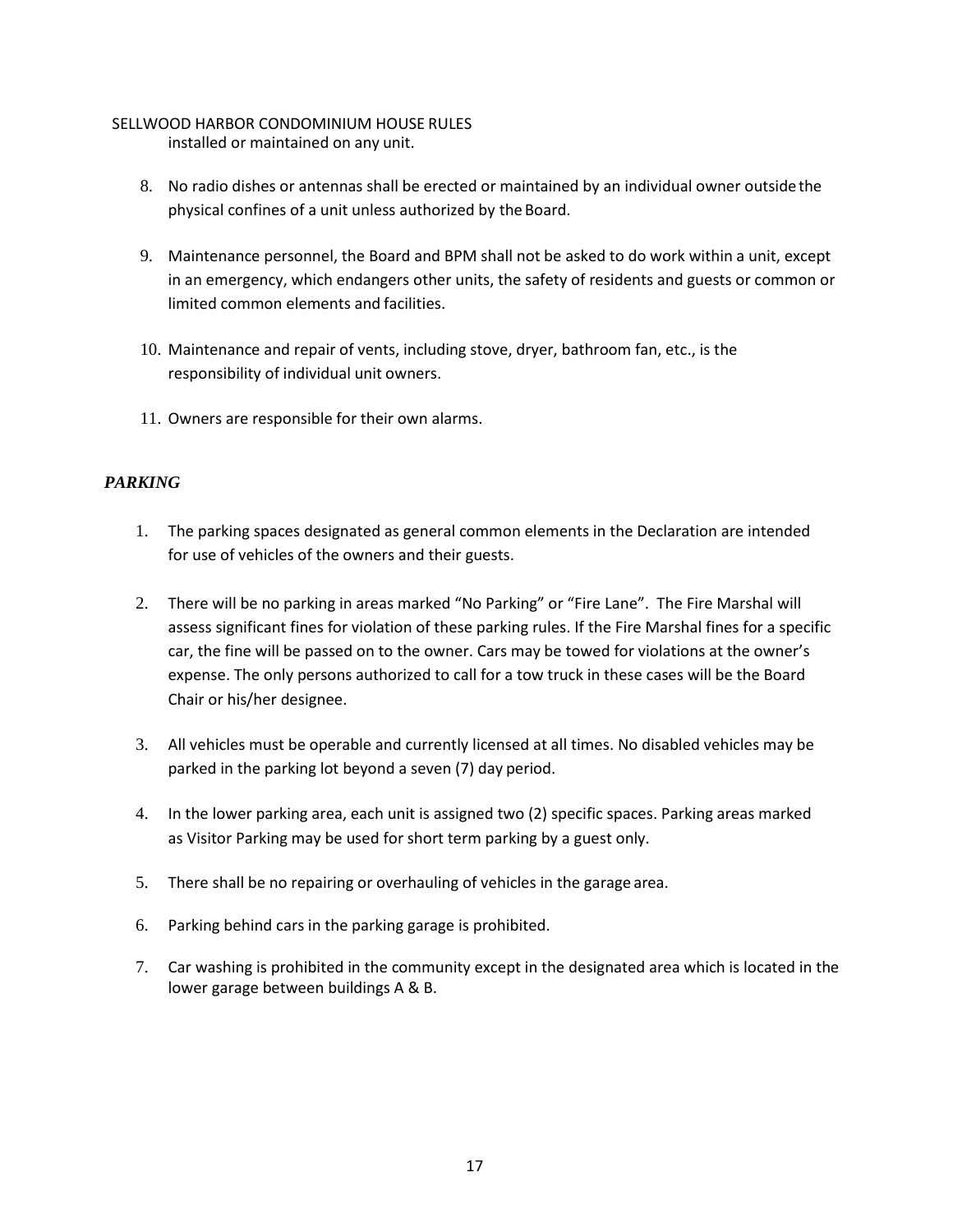installed or maintained on any unit.

- 8. No radio dishes or antennas shall be erected or maintained by an individual owner outsidethe physical confines of a unit unless authorized by the Board.
- 9. Maintenance personnel, the Board and BPM shall not be asked to do work within a unit, except in an emergency, which endangers other units, the safety of residents and guests or common or limited common elements and facilities.
- 10. Maintenance and repair of vents, including stove, dryer, bathroom fan, etc., is the responsibility of individual unit owners.
- 11. Owners are responsible for their own alarms.

#### <span id="page-16-0"></span>*PARKING*

- 1. The parking spaces designated as general common elements in the Declaration are intended for use of vehicles of the owners and their guests.
- 2. There will be no parking in areas marked "No Parking" or "Fire Lane". The Fire Marshal will assess significant fines for violation of these parking rules. If the Fire Marshal fines for a specific car, the fine will be passed on to the owner. Cars may be towed for violations at the owner's expense. The only persons authorized to call for a tow truck in these cases will be the Board Chair or his/her designee.
- 3. All vehicles must be operable and currently licensed at all times. No disabled vehicles may be parked in the parking lot beyond a seven (7) day period.
- 4. In the lower parking area, each unit is assigned two (2) specific spaces. Parking areas marked as Visitor Parking may be used for short term parking by a guest only.
- 5. There shall be no repairing or overhauling of vehicles in the garage area.
- 6. Parking behind cars in the parking garage is prohibited.
- 7. Car washing is prohibited in the community except in the designated area which is located in the lower garage between buildings A & B.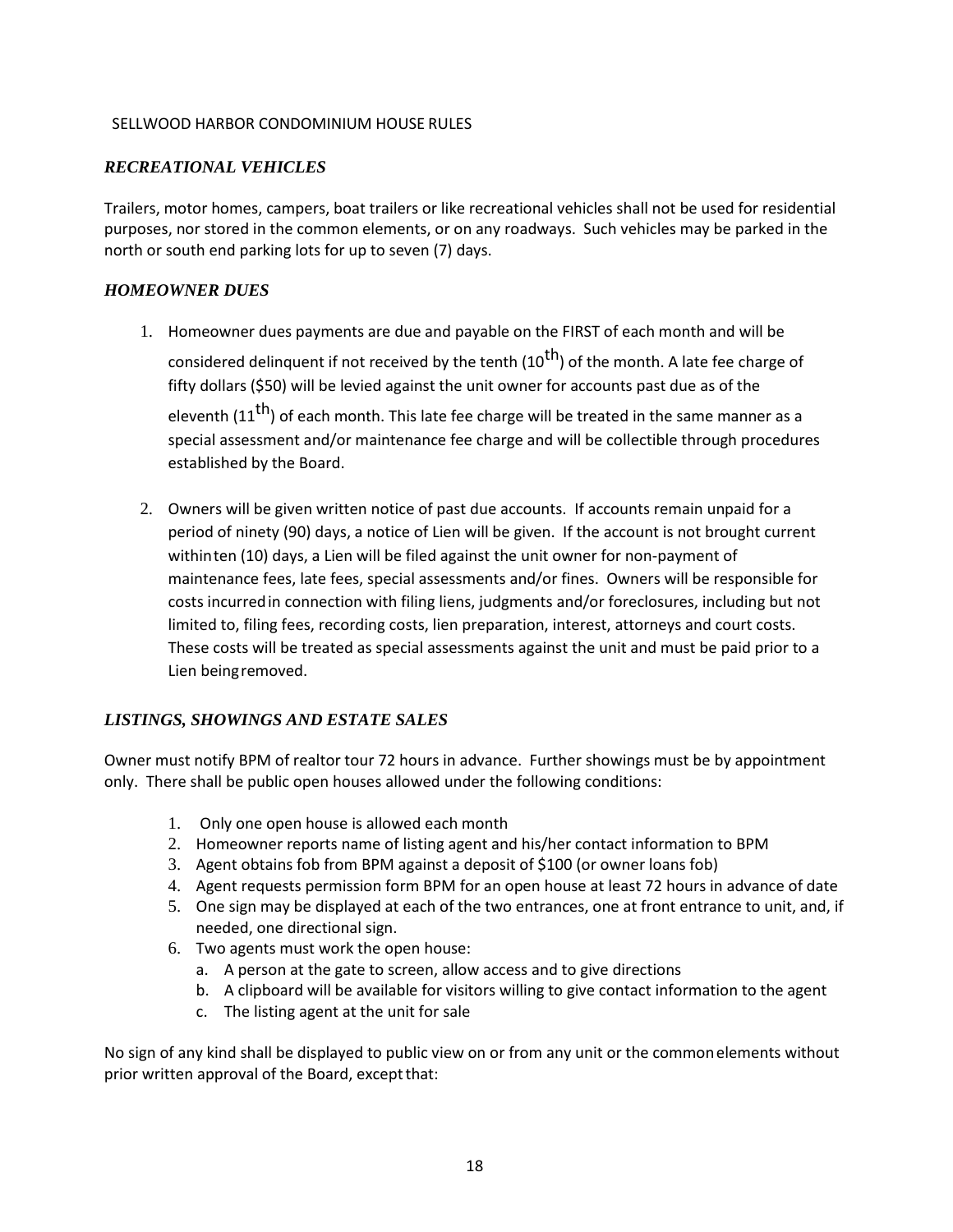#### <span id="page-17-0"></span>*RECREATIONAL VEHICLES*

Trailers, motor homes, campers, boat trailers or like recreational vehicles shall not be used for residential purposes, nor stored in the common elements, or on any roadways. Such vehicles may be parked in the north or south end parking lots for up to seven (7) days.

#### <span id="page-17-1"></span>*HOMEOWNER DUES*

- 1. Homeowner dues payments are due and payable on the FIRST of each month and will be considered delinquent if not received by the tenth (10<sup>th</sup>) of the month. A late fee charge of fifty dollars (\$50) will be levied against the unit owner for accounts past due as of the eleventh ( $11<sup>th</sup>$ ) of each month. This late fee charge will be treated in the same manner as a special assessment and/or maintenance fee charge and will be collectible through procedures established by the Board.
- 2. Owners will be given written notice of past due accounts. If accounts remain unpaid for a period of ninety (90) days, a notice of Lien will be given. If the account is not brought current withinten (10) days, a Lien will be filed against the unit owner for non-payment of maintenance fees, late fees, special assessments and/or fines. Owners will be responsible for costs incurredin connection with filing liens, judgments and/or foreclosures, including but not limited to, filing fees, recording costs, lien preparation, interest, attorneys and court costs. These costs will be treated as special assessments against the unit and must be paid prior to a Lien beingremoved.

#### <span id="page-17-2"></span>*LISTINGS, SHOWINGS AND ESTATE SALES*

Owner must notify BPM of realtor tour 72 hours in advance. Further showings must be by appointment only. There shall be public open houses allowed under the following conditions:

- 1. Only one open house is allowed each month
- 2. Homeowner reports name of listing agent and his/her contact information to BPM
- 3. Agent obtains fob from BPM against a deposit of \$100 (or owner loans fob)
- 4. Agent requests permission form BPM for an open house at least 72 hours in advance of date
- 5. One sign may be displayed at each of the two entrances, one at front entrance to unit, and, if needed, one directional sign.
- 6. Two agents must work the open house:
	- a. A person at the gate to screen, allow access and to give directions
	- b. A clipboard will be available for visitors willing to give contact information to the agent
	- c. The listing agent at the unit for sale

No sign of any kind shall be displayed to public view on or from any unit or the commonelements without prior written approval of the Board, except that: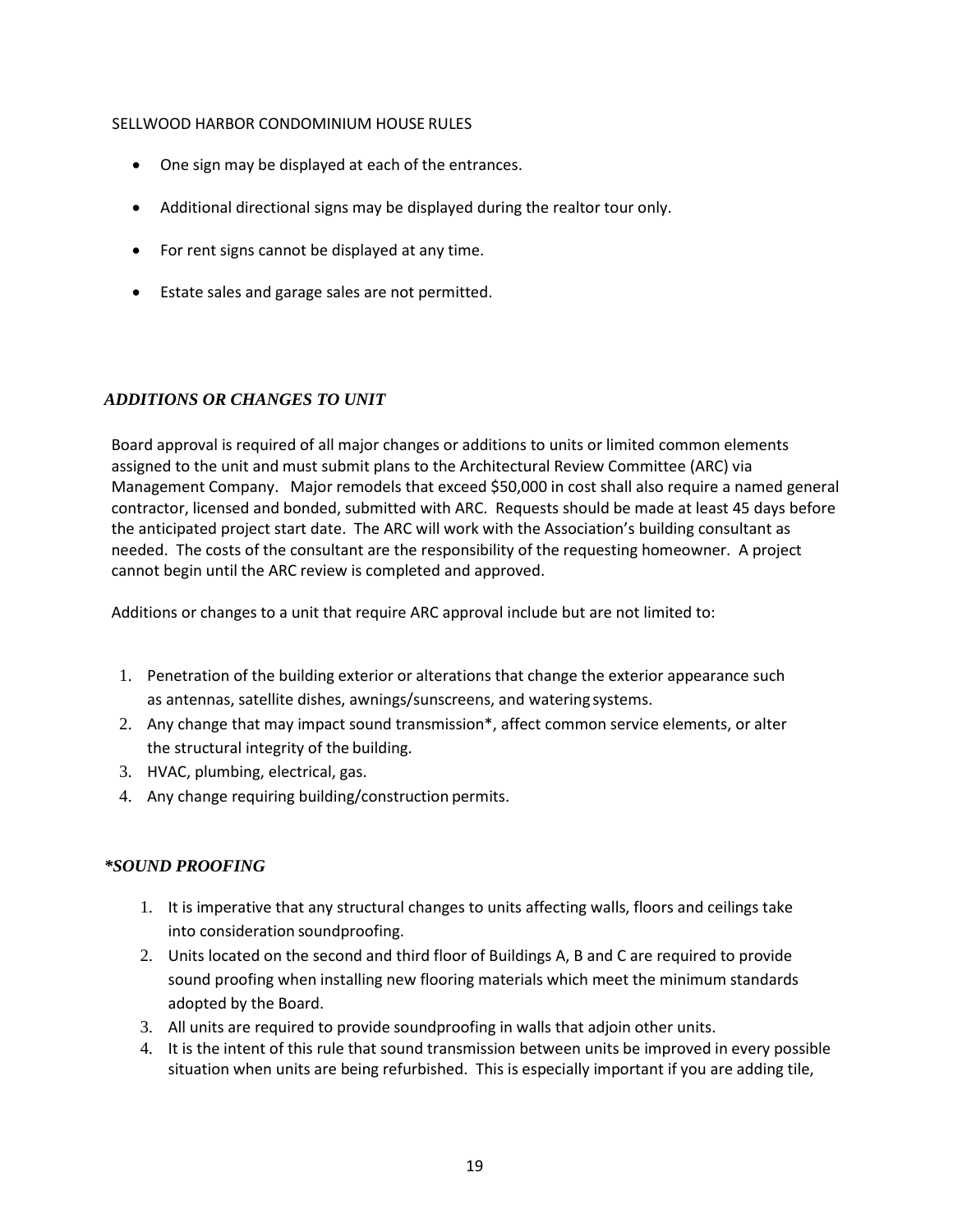- One sign may be displayed at each of the entrances.
- Additional directional signs may be displayed during the realtor tour only.
- For rent signs cannot be displayed at any time.
- Estate sales and garage sales are not permitted.

#### <span id="page-18-0"></span>*ADDITIONS OR CHANGES TO UNIT*

Board approval is required of all major changes or additions to units or limited common elements assigned to the unit and must submit plans to the Architectural Review Committee (ARC) via Management Company. Major remodels that exceed \$50,000 in cost shall also require a named general contractor, licensed and bonded, submitted with ARC. Requests should be made at least 45 days before the anticipated project start date. The ARC will work with the Association's building consultant as needed. The costs of the consultant are the responsibility of the requesting homeowner. A project cannot begin until the ARC review is completed and approved.

Additions or changes to a unit that require ARC approval include but are not limited to:

- 1. Penetration of the building exterior or alterations that change the exterior appearance such as antennas, satellite dishes, awnings/sunscreens, and watering systems.
- 2. Any change that may impact sound transmission\*, affect common service elements, or alter the structural integrity of the building.
- 3. HVAC, plumbing, electrical, gas.
- 4. Any change requiring building/construction permits.

#### <span id="page-18-1"></span>*\*SOUND PROOFING*

- 1. It is imperative that any structural changes to units affecting walls, floors and ceilings take into consideration soundproofing.
- 2. Units located on the second and third floor of Buildings A, B and C are required to provide sound proofing when installing new flooring materials which meet the minimum standards adopted by the Board.
- 3. All units are required to provide soundproofing in walls that adjoin other units.
- 4. It is the intent of this rule that sound transmission between units be improved in every possible situation when units are being refurbished. This is especially important if you are adding tile,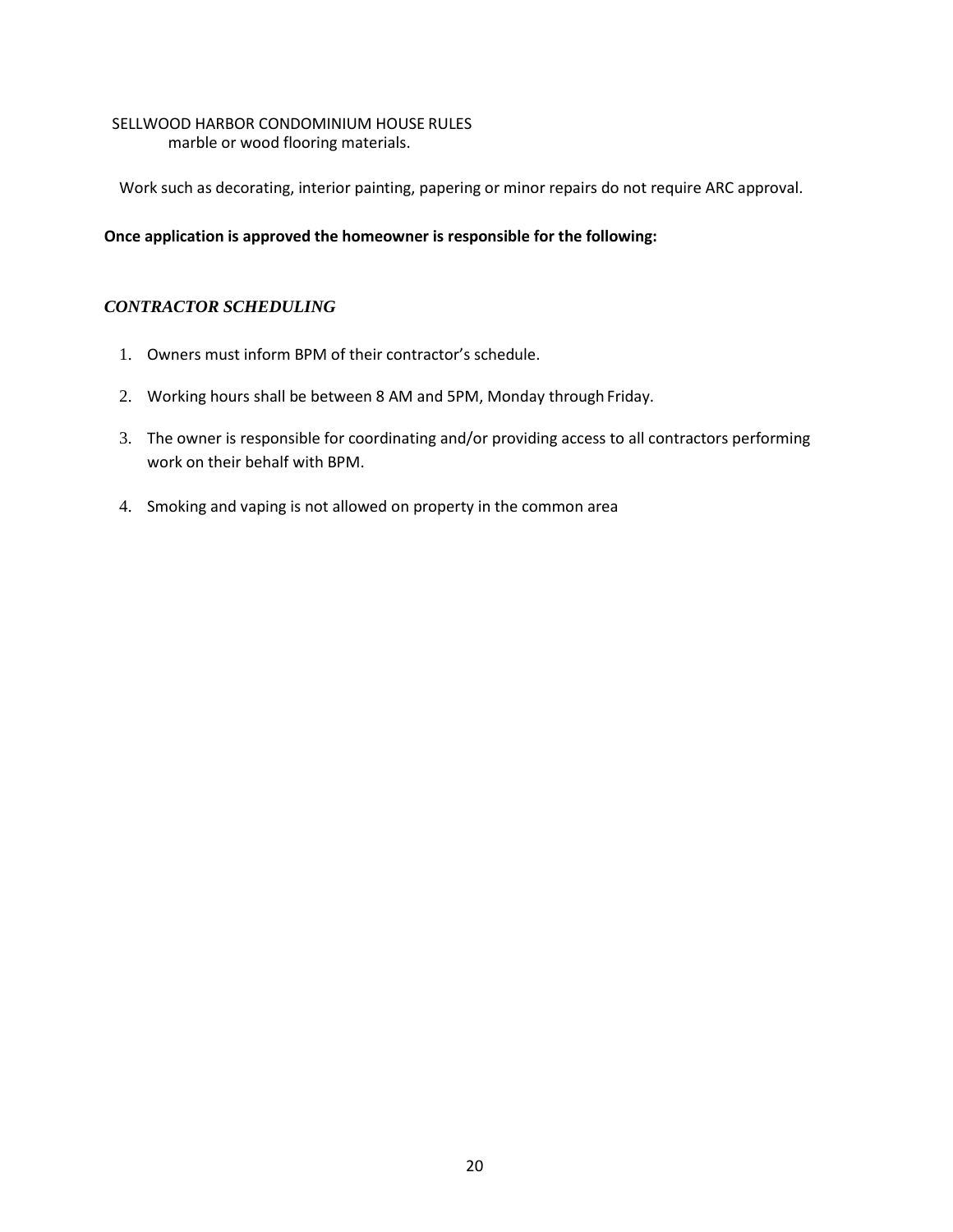#### SELLWOOD HARBOR CONDOMINIUM HOUSE RULES marble or wood flooring materials.

Work such as decorating, interior painting, papering or minor repairs do not require ARC approval.

#### **Once application is approved the homeowner is responsible for the following:**

#### <span id="page-19-0"></span>*CONTRACTOR SCHEDULING*

- 1. Owners must inform BPM of their contractor's schedule.
- 2. Working hours shall be between 8 AM and 5PM, Monday through Friday.
- 3. The owner is responsible for coordinating and/or providing access to all contractors performing work on their behalf with BPM.
- 4. Smoking and vaping is not allowed on property in the common area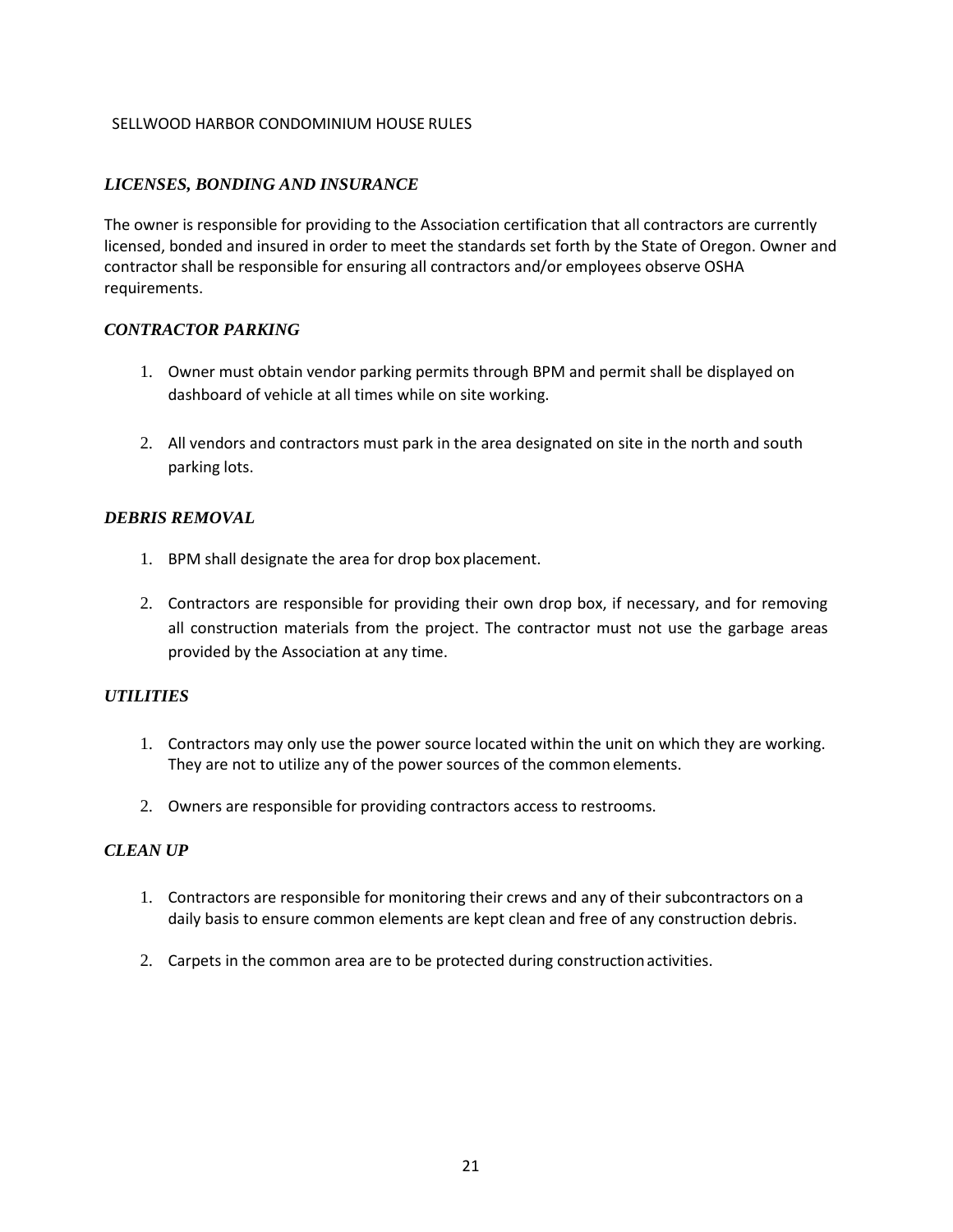#### <span id="page-20-0"></span>*LICENSES, BONDING AND INSURANCE*

The owner is responsible for providing to the Association certification that all contractors are currently licensed, bonded and insured in order to meet the standards set forth by the State of Oregon. Owner and contractor shall be responsible for ensuring all contractors and/or employees observe OSHA requirements.

#### <span id="page-20-1"></span>*CONTRACTOR PARKING*

- 1. Owner must obtain vendor parking permits through BPM and permit shall be displayed on dashboard of vehicle at all times while on site working.
- 2. All vendors and contractors must park in the area designated on site in the north and south parking lots.

#### <span id="page-20-2"></span>*DEBRIS REMOVAL*

- 1. BPM shall designate the area for drop box placement.
- 2. Contractors are responsible for providing their own drop box, if necessary, and for removing all construction materials from the project. The contractor must not use the garbage areas provided by the Association at any time.

#### <span id="page-20-3"></span>*UTILITIES*

- 1. Contractors may only use the power source located within the unit on which they are working. They are not to utilize any of the power sources of the common elements.
- 2. Owners are responsible for providing contractors access to restrooms.

#### <span id="page-20-4"></span>*CLEAN UP*

- 1. Contractors are responsible for monitoring their crews and any of their subcontractors on a daily basis to ensure common elements are kept clean and free of any construction debris.
- 2. Carpets in the common area are to be protected during constructionactivities.